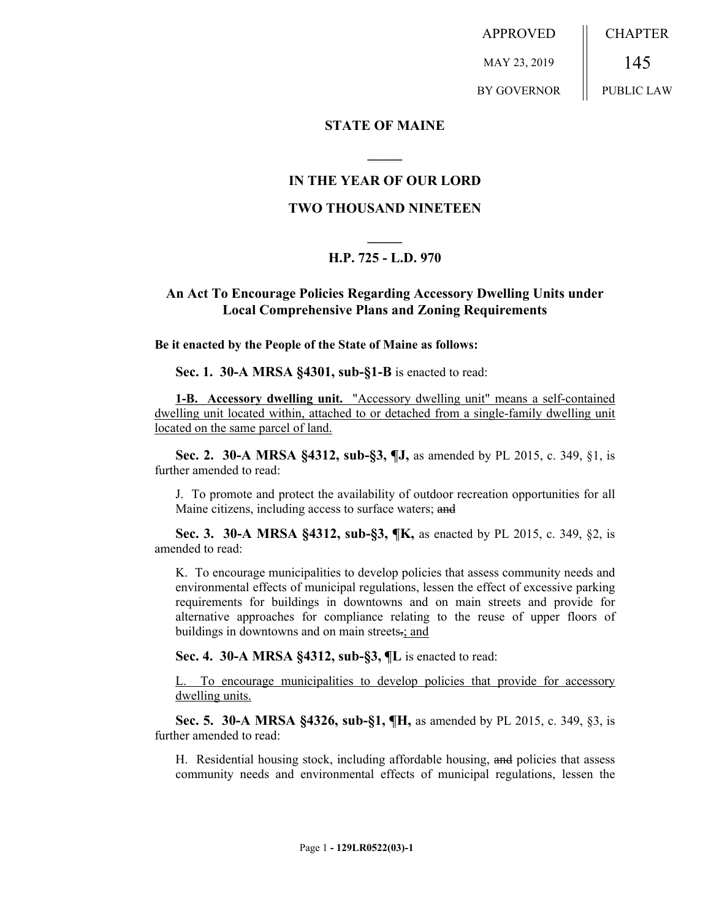APPROVED MAY 23, 2019 BY GOVERNOR CHAPTER 145 PUBLIC LAW

### **STATE OF MAINE**

## **IN THE YEAR OF OUR LORD**

**\_\_\_\_\_**

#### **TWO THOUSAND NINETEEN**

# **\_\_\_\_\_ H.P. 725 - L.D. 970**

## **An Act To Encourage Policies Regarding Accessory Dwelling Units under Local Comprehensive Plans and Zoning Requirements**

**Be it enacted by the People of the State of Maine as follows:**

**Sec. 1. 30-A MRSA §4301, sub-§1-B** is enacted to read:

**1-B. Accessory dwelling unit.** "Accessory dwelling unit" means a self-contained dwelling unit located within, attached to or detached from a single-family dwelling unit located on the same parcel of land.

**Sec. 2. 30-A MRSA §4312, sub-§3, ¶J,** as amended by PL 2015, c. 349, §1, is further amended to read:

J. To promote and protect the availability of outdoor recreation opportunities for all Maine citizens, including access to surface waters; and

**Sec. 3. 30-A MRSA §4312, sub-§3, ¶K,** as enacted by PL 2015, c. 349, §2, is amended to read:

K. To encourage municipalities to develop policies that assess community needs and environmental effects of municipal regulations, lessen the effect of excessive parking requirements for buildings in downtowns and on main streets and provide for alternative approaches for compliance relating to the reuse of upper floors of buildings in downtowns and on main streets-; and

**Sec. 4. 30-A MRSA §4312, sub-§3, ¶L** is enacted to read:

L. To encourage municipalities to develop policies that provide for accessory dwelling units.

**Sec. 5. 30-A MRSA §4326, sub-§1, ¶H,** as amended by PL 2015, c. 349, §3, is further amended to read:

H. Residential housing stock, including affordable housing, and policies that assess community needs and environmental effects of municipal regulations, lessen the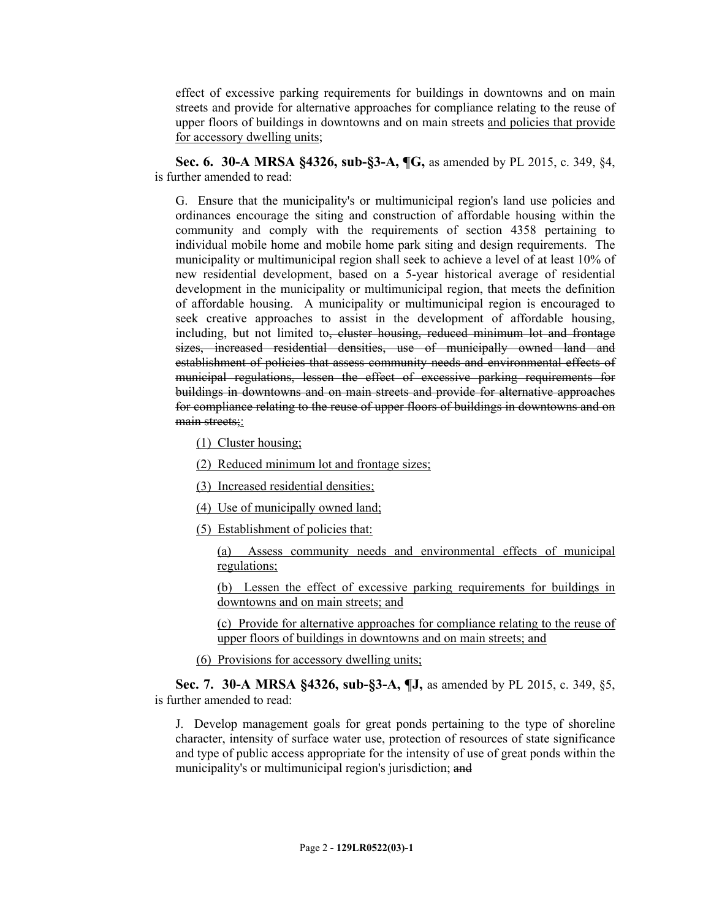effect of excessive parking requirements for buildings in downtowns and on main streets and provide for alternative approaches for compliance relating to the reuse of upper floors of buildings in downtowns and on main streets and policies that provide for accessory dwelling units;

**Sec. 6. 30-A MRSA §4326, sub-§3-A, ¶G,** as amended by PL 2015, c. 349, §4, is further amended to read:

G. Ensure that the municipality's or multimunicipal region's land use policies and ordinances encourage the siting and construction of affordable housing within the community and comply with the requirements of section 4358 pertaining to individual mobile home and mobile home park siting and design requirements. The municipality or multimunicipal region shall seek to achieve a level of at least 10% of new residential development, based on a 5-year historical average of residential development in the municipality or multimunicipal region, that meets the definition of affordable housing. A municipality or multimunicipal region is encouraged to seek creative approaches to assist in the development of affordable housing, including, but not limited to<del>, cluster housing, reduced minimum lot and frontage</del> sizes, increased residential densities, use of municipally owned land and establishment of policies that assess community needs and environmental effects of municipal regulations, lessen the effect of excessive parking requirements for buildings in downtowns and on main streets and provide for alternative approaches for compliance relating to the reuse of upper floors of buildings in downtowns and on main streets;:

(1) Cluster housing;

- (2) Reduced minimum lot and frontage sizes;
- (3) Increased residential densities;
- (4) Use of municipally owned land;
- (5) Establishment of policies that:

(a) Assess community needs and environmental effects of municipal regulations;

(b) Lessen the effect of excessive parking requirements for buildings in downtowns and on main streets; and

(c) Provide for alternative approaches for compliance relating to the reuse of upper floors of buildings in downtowns and on main streets; and

(6) Provisions for accessory dwelling units;

**Sec. 7. 30-A MRSA §4326, sub-§3-A, ¶J,** as amended by PL 2015, c. 349, §5, is further amended to read:

J. Develop management goals for great ponds pertaining to the type of shoreline character, intensity of surface water use, protection of resources of state significance and type of public access appropriate for the intensity of use of great ponds within the municipality's or multimunicipal region's jurisdiction; and